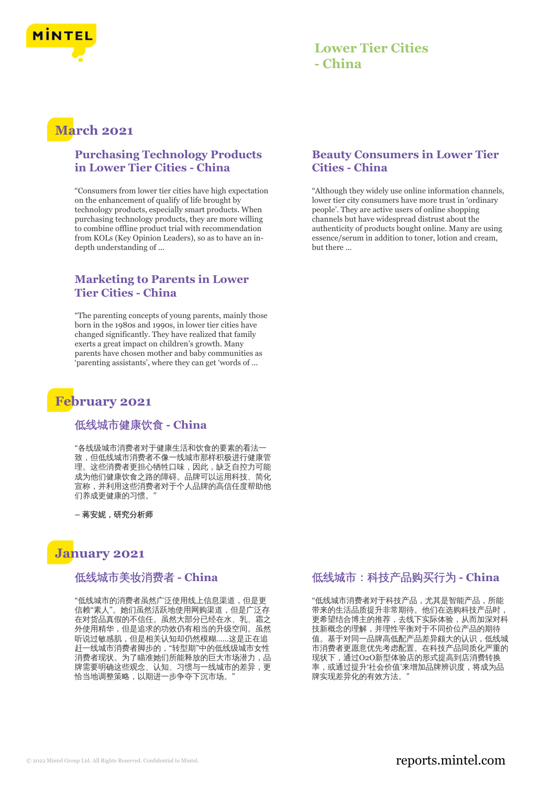

### **Lower Tier Cities - China**

# **March 2021**

### **Purchasing Technology Products in Lower Tier Cities - China**

"Consumers from lower tier cities have high expectation on the enhancement of qualify of life brought by technology products, especially smart products. When purchasing technology products, they are more willing to combine offline product trial with recommendation from KOLs (Key Opinion Leaders), so as to have an indepth understanding of ...

### **Marketing to Parents in Lower Tier Cities - China**

"The parenting concepts of young parents, mainly those born in the 1980s and 1990s, in lower tier cities have changed significantly. They have realized that family exerts a great impact on children's growth. Many parents have chosen mother and baby communities as 'parenting assistants', where they can get 'words of ...

## **February 2021**

#### 低线城市健康饮食 **- China**

"各线级城市消费者对于健康生活和饮食的要素的看法一 致,但低线城市消费者不像一线城市那样积极进行健康管 理。这些消费者更担心牺牲口味,因此,缺乏自控力可能 成为他们健康饮食之路的障碍。品牌可以运用科技、简化 宣称,并利用这些消费者对于个人品牌的高信任度帮助他 们养成更健康的习惯。"

**–** 蒋安妮,研究分析师

### **January 2021**

#### 低线城市美妆消费者 **- China**

"低线城市的消费者虽然广泛使用线上信息渠道,但是更 信赖"素人"。她们虽然活跃地使用网购渠道,但是广泛存 在对货品真假的不信任。虽然大部分已经在水、乳、霜之 外使用精华,但是追求的功效仍有相当的升级空间。虽然 听说过敏感肌,但是相关认知却仍然模糊……这是正在追 赶一线城市消费者脚步的,"转型期"中的低线级城市女性 消费者现状。为了瞄准她们所能释放的巨大市场潜力,品 牌需要明确这些观念、认知、习惯与一线城市的差异,更 恰当地调整策略,以期进一步争夺下沉市场。"

### **Beauty Consumers in Lower Tier Cities - China**

"Although they widely use online information channels, lower tier city consumers have more trust in 'ordinary people'. They are active users of online shopping channels but have widespread distrust about the authenticity of products bought online. Many are using essence/serum in addition to toner, lotion and cream, but there ...

### 低线城市:科技产品购买行为 **- China**

"低线城市消费者对于科技产品,尤其是智能产品,所能 带来的生活品质提升非常期待。他们在选购科技产品时, 更希望结合博主的推荐,去线下实际体验,从而加深对科 技新概念的理解,并理性平衡对于不同价位产品的期待 值。基于对同一品牌高低配产品差异颇大的认识,低线城 市消费者更愿意优先考虑配置。在科技产品同质化严重的 现状下,通过O2O新型体验店的形式提高到店消费转换 率,或通过提升'社会价值'来增加品牌辨识度,将成为品 牌实现差异化的有效方法。"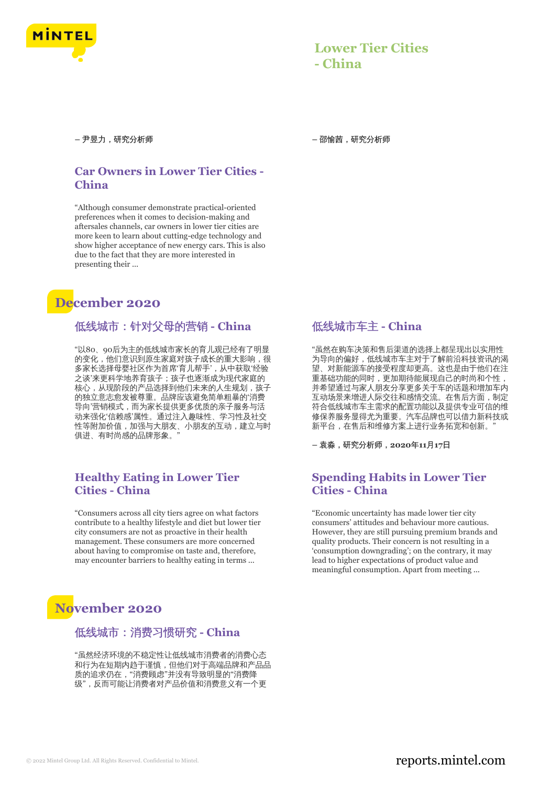

### **Lower Tier Cities - China**

**–** 尹昱力,研究分析师 **–** 邵愉茜,研究分析师

### **Car Owners in Lower Tier Cities - China**

"Although consumer demonstrate practical-oriented preferences when it comes to decision-making and aftersales channels, car owners in lower tier cities are more keen to learn about cutting-edge technology and show higher acceptance of new energy cars. This is also due to the fact that they are more interested in presenting their ...

# **December 2020**

### 低线城市:针对父母的营销 **- China**

"以80、90后为主的低线城市家长的育儿观已经有了明显 的变化,他们意识到原生家庭对孩子成长的重大影响,很 多家长选择母婴社区作为首席'育儿帮手',从中获取'经验 之谈'来更科学地养育孩子;孩子也逐渐成为现代家庭的 核心,从现阶段的产品选择到他们未来的人生规划,孩子 的独立意志愈发被尊重。品牌应该避免简单粗暴的'消费 导向'营销模式,而为家长提供更多优质的亲子服务与活 动来强化'信赖感'属性。通过注入趣味性、学习性及社交 性等附加价值,加强与大朋友、小朋友的互动,建立与时 俱进、有时尚感的品牌形象。

### **Healthy Eating in Lower Tier Cities - China**

"Consumers across all city tiers agree on what factors contribute to a healthy lifestyle and diet but lower tier city consumers are not as proactive in their health management. These consumers are more concerned about having to compromise on taste and, therefore, may encounter barriers to healthy eating in terms ...

# **November 2020**

#### 低线城市:消费习惯研究 **- China**

"虽然经济环境的不稳定性让低线城市消费者的消费心态 和行为在短期内趋于谨慎,但他们对于高端品牌和产品品 质的追求仍在,"消费顾虑"并没有导致明显的"消费降 级",反而可能让消费者对产品价值和消费意义有一个更

### 低线城市车主 **- China**

"虽然在购车决策和售后渠道的选择上都呈现出以实用性 为导向的偏好,低线城市车主对于了解前沿科技资讯的渴 望、对新能源车的接受程度却更高。这也是由于他们在注 重基础功能的同时,更加期待能展现自己的时尚和个性, 并希望通过与家人朋友分享更多关于车的话题和增加车内 互动场景来增进人际交往和感情交流。在售后方面,制定 符合低线城市车主需求的配置功能以及提供专业可信的维 修保养服务显得尤为重要。汽车品牌也可以借力新科技或 新平台,在售后和维修方案上进行业务拓宽和创新。

**–** 袁淼,研究分析师,**2020**年**11**月**17**日

### **Spending Habits in Lower Tier Cities - China**

"Economic uncertainty has made lower tier city consumers' attitudes and behaviour more cautious. However, they are still pursuing premium brands and quality products. Their concern is not resulting in a 'consumption downgrading'; on the contrary, it may lead to higher expectations of product value and meaningful consumption. Apart from meeting ...